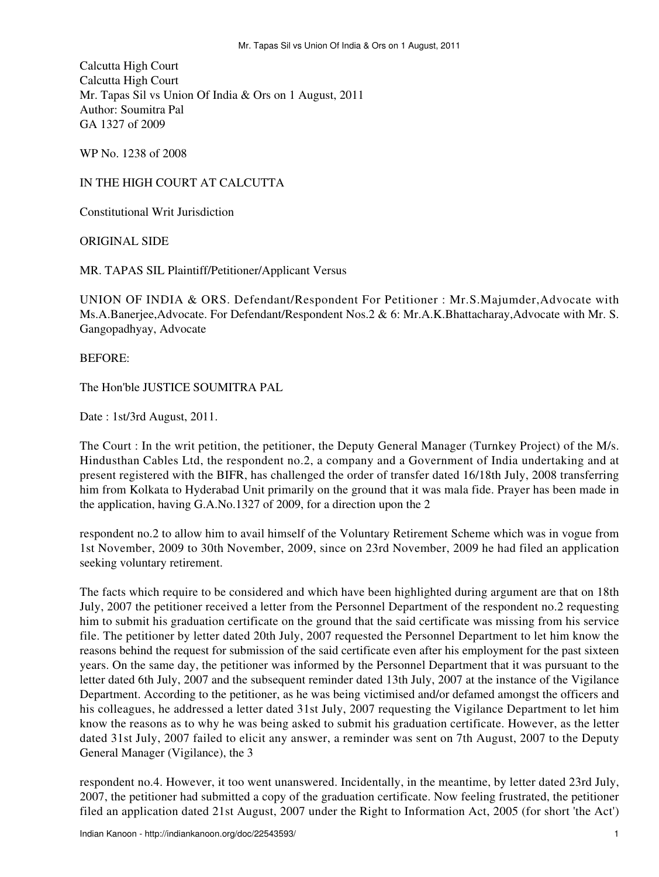Calcutta High Court Calcutta High Court Mr. Tapas Sil vs Union Of India & Ors on 1 August, 2011 Author: Soumitra Pal GA 1327 of 2009

WP No. 1238 of 2008

## IN THE HIGH COURT AT CALCUTTA

Constitutional Writ Jurisdiction

ORIGINAL SIDE

MR. TAPAS SIL Plaintiff/Petitioner/Applicant Versus

UNION OF INDIA & ORS. Defendant/Respondent For Petitioner : Mr.S.Majumder,Advocate with Ms.A.Banerjee,Advocate. For Defendant/Respondent Nos.2 & 6: Mr.A.K.Bhattacharay,Advocate with Mr. S. Gangopadhyay, Advocate

## BEFORE:

The Hon'ble JUSTICE SOUMITRA PAL

Date : 1st/3rd August, 2011.

The Court : In the writ petition, the petitioner, the Deputy General Manager (Turnkey Project) of the M/s. Hindusthan Cables Ltd, the respondent no.2, a company and a Government of India undertaking and at present registered with the BIFR, has challenged the order of transfer dated 16/18th July, 2008 transferring him from Kolkata to Hyderabad Unit primarily on the ground that it was mala fide. Prayer has been made in the application, having G.A.No.1327 of 2009, for a direction upon the 2

respondent no.2 to allow him to avail himself of the Voluntary Retirement Scheme which was in vogue from 1st November, 2009 to 30th November, 2009, since on 23rd November, 2009 he had filed an application seeking voluntary retirement.

The facts which require to be considered and which have been highlighted during argument are that on 18th July, 2007 the petitioner received a letter from the Personnel Department of the respondent no.2 requesting him to submit his graduation certificate on the ground that the said certificate was missing from his service file. The petitioner by letter dated 20th July, 2007 requested the Personnel Department to let him know the reasons behind the request for submission of the said certificate even after his employment for the past sixteen years. On the same day, the petitioner was informed by the Personnel Department that it was pursuant to the letter dated 6th July, 2007 and the subsequent reminder dated 13th July, 2007 at the instance of the Vigilance Department. According to the petitioner, as he was being victimised and/or defamed amongst the officers and his colleagues, he addressed a letter dated 31st July, 2007 requesting the Vigilance Department to let him know the reasons as to why he was being asked to submit his graduation certificate. However, as the letter dated 31st July, 2007 failed to elicit any answer, a reminder was sent on 7th August, 2007 to the Deputy General Manager (Vigilance), the 3

respondent no.4. However, it too went unanswered. Incidentally, in the meantime, by letter dated 23rd July, 2007, the petitioner had submitted a copy of the graduation certificate. Now feeling frustrated, the petitioner filed an application dated 21st August, 2007 under the Right to Information Act, 2005 (for short 'the Act')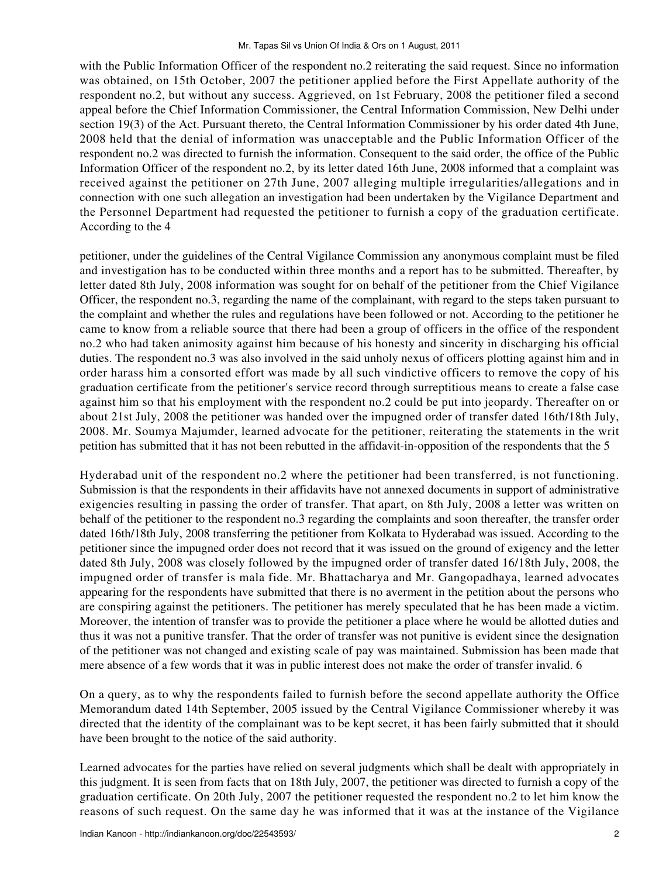with the Public Information Officer of the respondent no.2 reiterating the said request. Since no information was obtained, on 15th October, 2007 the petitioner applied before the First Appellate authority of the respondent no.2, but without any success. Aggrieved, on 1st February, 2008 the petitioner filed a second appeal before the Chief Information Commissioner, the Central Information Commission, New Delhi under section 19(3) of the Act. Pursuant thereto, the Central Information Commissioner by his order dated 4th June, 2008 held that the denial of information was unacceptable and the Public Information Officer of the respondent no.2 was directed to furnish the information. Consequent to the said order, the office of the Public Information Officer of the respondent no.2, by its letter dated 16th June, 2008 informed that a complaint was received against the petitioner on 27th June, 2007 alleging multiple irregularities/allegations and in connection with one such allegation an investigation had been undertaken by the Vigilance Department and the Personnel Department had requested the petitioner to furnish a copy of the graduation certificate. According to the 4

petitioner, under the guidelines of the Central Vigilance Commission any anonymous complaint must be filed and investigation has to be conducted within three months and a report has to be submitted. Thereafter, by letter dated 8th July, 2008 information was sought for on behalf of the petitioner from the Chief Vigilance Officer, the respondent no.3, regarding the name of the complainant, with regard to the steps taken pursuant to the complaint and whether the rules and regulations have been followed or not. According to the petitioner he came to know from a reliable source that there had been a group of officers in the office of the respondent no.2 who had taken animosity against him because of his honesty and sincerity in discharging his official duties. The respondent no.3 was also involved in the said unholy nexus of officers plotting against him and in order harass him a consorted effort was made by all such vindictive officers to remove the copy of his graduation certificate from the petitioner's service record through surreptitious means to create a false case against him so that his employment with the respondent no.2 could be put into jeopardy. Thereafter on or about 21st July, 2008 the petitioner was handed over the impugned order of transfer dated 16th/18th July, 2008. Mr. Soumya Majumder, learned advocate for the petitioner, reiterating the statements in the writ petition has submitted that it has not been rebutted in the affidavit-in-opposition of the respondents that the 5

Hyderabad unit of the respondent no.2 where the petitioner had been transferred, is not functioning. Submission is that the respondents in their affidavits have not annexed documents in support of administrative exigencies resulting in passing the order of transfer. That apart, on 8th July, 2008 a letter was written on behalf of the petitioner to the respondent no.3 regarding the complaints and soon thereafter, the transfer order dated 16th/18th July, 2008 transferring the petitioner from Kolkata to Hyderabad was issued. According to the petitioner since the impugned order does not record that it was issued on the ground of exigency and the letter dated 8th July, 2008 was closely followed by the impugned order of transfer dated 16/18th July, 2008, the impugned order of transfer is mala fide. Mr. Bhattacharya and Mr. Gangopadhaya, learned advocates appearing for the respondents have submitted that there is no averment in the petition about the persons who are conspiring against the petitioners. The petitioner has merely speculated that he has been made a victim. Moreover, the intention of transfer was to provide the petitioner a place where he would be allotted duties and thus it was not a punitive transfer. That the order of transfer was not punitive is evident since the designation of the petitioner was not changed and existing scale of pay was maintained. Submission has been made that mere absence of a few words that it was in public interest does not make the order of transfer invalid. 6

On a query, as to why the respondents failed to furnish before the second appellate authority the Office Memorandum dated 14th September, 2005 issued by the Central Vigilance Commissioner whereby it was directed that the identity of the complainant was to be kept secret, it has been fairly submitted that it should have been brought to the notice of the said authority.

Learned advocates for the parties have relied on several judgments which shall be dealt with appropriately in this judgment. It is seen from facts that on 18th July, 2007, the petitioner was directed to furnish a copy of the graduation certificate. On 20th July, 2007 the petitioner requested the respondent no.2 to let him know the reasons of such request. On the same day he was informed that it was at the instance of the Vigilance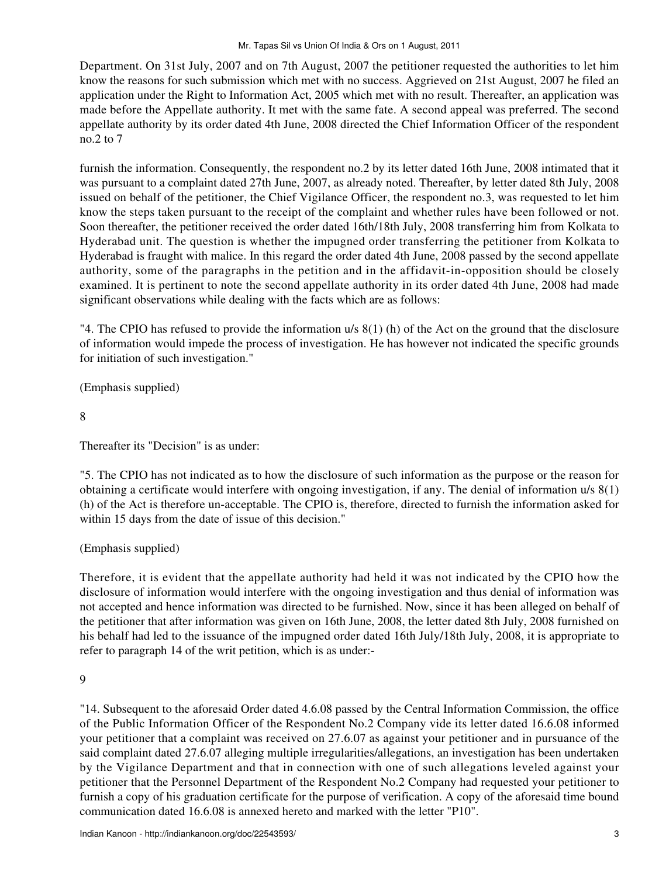Department. On 31st July, 2007 and on 7th August, 2007 the petitioner requested the authorities to let him know the reasons for such submission which met with no success. Aggrieved on 21st August, 2007 he filed an application under the Right to Information Act, 2005 which met with no result. Thereafter, an application was made before the Appellate authority. It met with the same fate. A second appeal was preferred. The second appellate authority by its order dated 4th June, 2008 directed the Chief Information Officer of the respondent no.2 to 7

furnish the information. Consequently, the respondent no.2 by its letter dated 16th June, 2008 intimated that it was pursuant to a complaint dated 27th June, 2007, as already noted. Thereafter, by letter dated 8th July, 2008 issued on behalf of the petitioner, the Chief Vigilance Officer, the respondent no.3, was requested to let him know the steps taken pursuant to the receipt of the complaint and whether rules have been followed or not. Soon thereafter, the petitioner received the order dated 16th/18th July, 2008 transferring him from Kolkata to Hyderabad unit. The question is whether the impugned order transferring the petitioner from Kolkata to Hyderabad is fraught with malice. In this regard the order dated 4th June, 2008 passed by the second appellate authority, some of the paragraphs in the petition and in the affidavit-in-opposition should be closely examined. It is pertinent to note the second appellate authority in its order dated 4th June, 2008 had made significant observations while dealing with the facts which are as follows:

"4. The CPIO has refused to provide the information u/s 8(1) (h) of the Act on the ground that the disclosure of information would impede the process of investigation. He has however not indicated the specific grounds for initiation of such investigation."

(Emphasis supplied)

8

Thereafter its "Decision" is as under:

"5. The CPIO has not indicated as to how the disclosure of such information as the purpose or the reason for obtaining a certificate would interfere with ongoing investigation, if any. The denial of information u/s 8(1) (h) of the Act is therefore un-acceptable. The CPIO is, therefore, directed to furnish the information asked for within 15 days from the date of issue of this decision."

(Emphasis supplied)

Therefore, it is evident that the appellate authority had held it was not indicated by the CPIO how the disclosure of information would interfere with the ongoing investigation and thus denial of information was not accepted and hence information was directed to be furnished. Now, since it has been alleged on behalf of the petitioner that after information was given on 16th June, 2008, the letter dated 8th July, 2008 furnished on his behalf had led to the issuance of the impugned order dated 16th July/18th July, 2008, it is appropriate to refer to paragraph 14 of the writ petition, which is as under:-

9

"14. Subsequent to the aforesaid Order dated 4.6.08 passed by the Central Information Commission, the office of the Public Information Officer of the Respondent No.2 Company vide its letter dated 16.6.08 informed your petitioner that a complaint was received on 27.6.07 as against your petitioner and in pursuance of the said complaint dated 27.6.07 alleging multiple irregularities/allegations, an investigation has been undertaken by the Vigilance Department and that in connection with one of such allegations leveled against your petitioner that the Personnel Department of the Respondent No.2 Company had requested your petitioner to furnish a copy of his graduation certificate for the purpose of verification. A copy of the aforesaid time bound communication dated 16.6.08 is annexed hereto and marked with the letter "P10".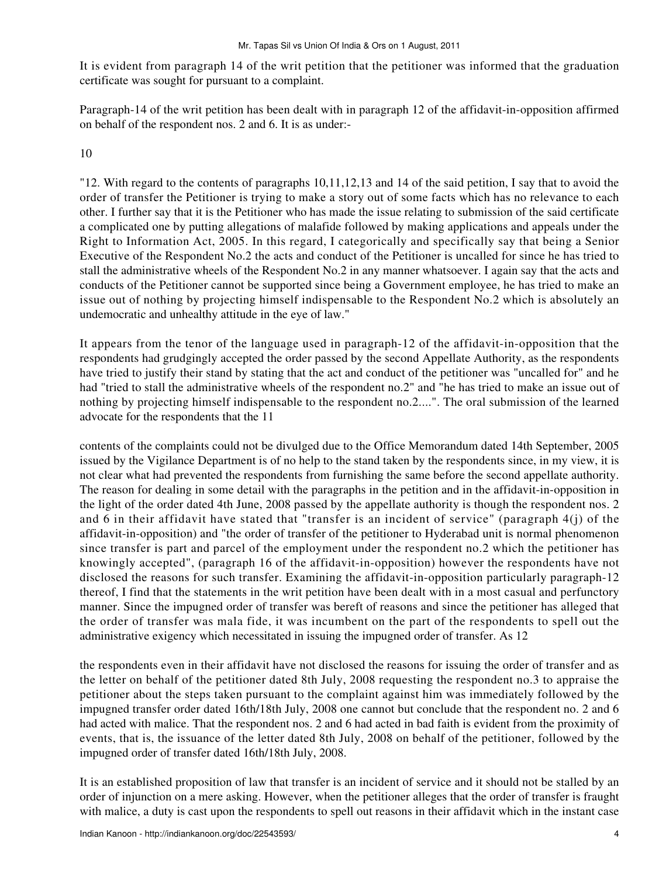It is evident from paragraph 14 of the writ petition that the petitioner was informed that the graduation certificate was sought for pursuant to a complaint.

Paragraph-14 of the writ petition has been dealt with in paragraph 12 of the affidavit-in-opposition affirmed on behalf of the respondent nos. 2 and 6. It is as under:-

10

"12. With regard to the contents of paragraphs 10,11,12,13 and 14 of the said petition, I say that to avoid the order of transfer the Petitioner is trying to make a story out of some facts which has no relevance to each other. I further say that it is the Petitioner who has made the issue relating to submission of the said certificate a complicated one by putting allegations of malafide followed by making applications and appeals under the Right to Information Act, 2005. In this regard, I categorically and specifically say that being a Senior Executive of the Respondent No.2 the acts and conduct of the Petitioner is uncalled for since he has tried to stall the administrative wheels of the Respondent No.2 in any manner whatsoever. I again say that the acts and conducts of the Petitioner cannot be supported since being a Government employee, he has tried to make an issue out of nothing by projecting himself indispensable to the Respondent No.2 which is absolutely an undemocratic and unhealthy attitude in the eye of law."

It appears from the tenor of the language used in paragraph-12 of the affidavit-in-opposition that the respondents had grudgingly accepted the order passed by the second Appellate Authority, as the respondents have tried to justify their stand by stating that the act and conduct of the petitioner was "uncalled for" and he had "tried to stall the administrative wheels of the respondent no.2" and "he has tried to make an issue out of nothing by projecting himself indispensable to the respondent no.2....". The oral submission of the learned advocate for the respondents that the 11

contents of the complaints could not be divulged due to the Office Memorandum dated 14th September, 2005 issued by the Vigilance Department is of no help to the stand taken by the respondents since, in my view, it is not clear what had prevented the respondents from furnishing the same before the second appellate authority. The reason for dealing in some detail with the paragraphs in the petition and in the affidavit-in-opposition in the light of the order dated 4th June, 2008 passed by the appellate authority is though the respondent nos. 2 and 6 in their affidavit have stated that "transfer is an incident of service" (paragraph 4(j) of the affidavit-in-opposition) and "the order of transfer of the petitioner to Hyderabad unit is normal phenomenon since transfer is part and parcel of the employment under the respondent no.2 which the petitioner has knowingly accepted", (paragraph 16 of the affidavit-in-opposition) however the respondents have not disclosed the reasons for such transfer. Examining the affidavit-in-opposition particularly paragraph-12 thereof, I find that the statements in the writ petition have been dealt with in a most casual and perfunctory manner. Since the impugned order of transfer was bereft of reasons and since the petitioner has alleged that the order of transfer was mala fide, it was incumbent on the part of the respondents to spell out the administrative exigency which necessitated in issuing the impugned order of transfer. As 12

the respondents even in their affidavit have not disclosed the reasons for issuing the order of transfer and as the letter on behalf of the petitioner dated 8th July, 2008 requesting the respondent no.3 to appraise the petitioner about the steps taken pursuant to the complaint against him was immediately followed by the impugned transfer order dated 16th/18th July, 2008 one cannot but conclude that the respondent no. 2 and 6 had acted with malice. That the respondent nos. 2 and 6 had acted in bad faith is evident from the proximity of events, that is, the issuance of the letter dated 8th July, 2008 on behalf of the petitioner, followed by the impugned order of transfer dated 16th/18th July, 2008.

It is an established proposition of law that transfer is an incident of service and it should not be stalled by an order of injunction on a mere asking. However, when the petitioner alleges that the order of transfer is fraught with malice, a duty is cast upon the respondents to spell out reasons in their affidavit which in the instant case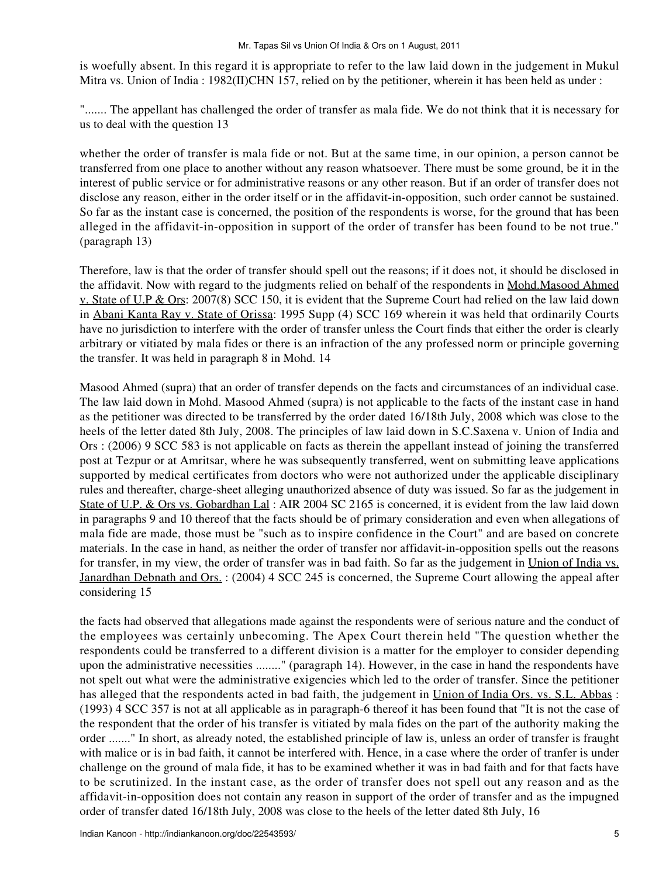is woefully absent. In this regard it is appropriate to refer to the law laid down in the judgement in Mukul Mitra vs. Union of India : 1982(II)CHN 157, relied on by the petitioner, wherein it has been held as under :

"....... The appellant has challenged the order of transfer as mala fide. We do not think that it is necessary for us to deal with the question 13

whether the order of transfer is mala fide or not. But at the same time, in our opinion, a person cannot be transferred from one place to another without any reason whatsoever. There must be some ground, be it in the interest of public service or for administrative reasons or any other reason. But if an order of transfer does not disclose any reason, either in the order itself or in the affidavit-in-opposition, such order cannot be sustained. So far as the instant case is concerned, the position of the respondents is worse, for the ground that has been alleged in the affidavit-in-opposition in support of the order of transfer has been found to be not true." (paragraph 13)

Therefore, law is that the order of transfer should spell out the reasons; if it does not, it should be disclosed in the affidavit. Now with regard to the judgments relied on behalf of the respondents in Mohd.Masood Ahmed v. State of U.P & Ors: 2007(8) SCC 150, it is evident that the Supreme Court had relied on the law laid down in Abani Kanta Ray v. State of Orissa: 1995 Supp (4) SCC 169 wherein it was held that ordinarily Courts have no jurisdiction to interfere with the order of transfer unless the Court finds that either the order is clearly arbitrary or vitiated by mala fides or there is an infraction of the any professed norm or principle governing the transfer. It was held in paragraph 8 in Mohd. 14

Masood Ahmed (supra) that an order of transfer depends on the facts and circumstances of an individual case. The law laid down in Mohd. Masood Ahmed (supra) is not applicable to the facts of the instant case in hand as the petitioner was directed to be transferred by the order dated 16/18th July, 2008 which was close to the heels of the letter dated 8th July, 2008. The principles of law laid down in S.C.Saxena v. Union of India and Ors : (2006) 9 SCC 583 is not applicable on facts as therein the appellant instead of joining the transferred post at Tezpur or at Amritsar, where he was subsequently transferred, went on submitting leave applications supported by medical certificates from doctors who were not authorized under the applicable disciplinary rules and thereafter, charge-sheet alleging unauthorized absence of duty was issued. So far as the judgement in State of U.P. & Ors vs. Gobardhan Lal: AIR 2004 SC 2165 is concerned, it is evident from the law laid down in paragraphs 9 and 10 thereof that the facts should be of primary consideration and even when allegations of mala fide are made, those must be "such as to inspire confidence in the Court" and are based on concrete materials. In the case in hand, as neither the order of transfer nor affidavit-in-opposition spells out the reasons for transfer, in my view, the order of transfer was in bad faith. So far as the judgement in Union of India vs. Janardhan Debnath and Ors. : (2004) 4 SCC 245 is concerned, the Supreme Court allowing the appeal after considering 15

the facts had observed that allegations made against the respondents were of serious nature and the conduct of the employees was certainly unbecoming. The Apex Court therein held "The question whether the respondents could be transferred to a different division is a matter for the employer to consider depending upon the administrative necessities ........" (paragraph 14). However, in the case in hand the respondents have not spelt out what were the administrative exigencies which led to the order of transfer. Since the petitioner has alleged that the respondents acted in bad faith, the judgement in Union of India Ors. vs. S.L. Abbas : (1993) 4 SCC 357 is not at all applicable as in paragraph-6 thereof it has been found that "It is not the case of the respondent that the order of his transfer is vitiated by mala fides on the part of the authority making the order ......." In short, as already noted, the established principle of law is, unless an order of transfer is fraught with malice or is in bad faith, it cannot be interfered with. Hence, in a case where the order of tranfer is under challenge on the ground of mala fide, it has to be examined whether it was in bad faith and for that facts have to be scrutinized. In the instant case, as the order of transfer does not spell out any reason and as the affidavit-in-opposition does not contain any reason in support of the order of transfer and as the impugned order of transfer dated 16/18th July, 2008 was close to the heels of the letter dated 8th July, 16